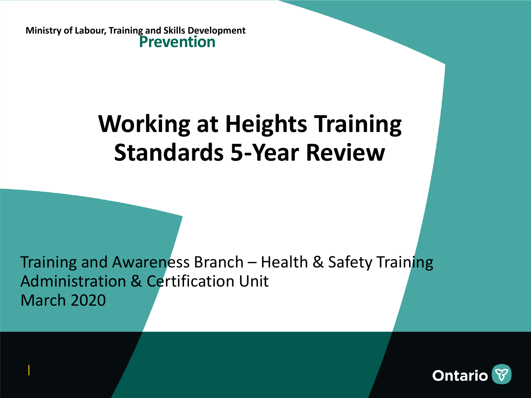**Ministry of Labour, Training and Skills Development Prevention**

|

## **Working at Heights Training Standards 5-Year Review**

Training and Awareness Branch – Health & Safety Training Administration & Certification Unit March 2020

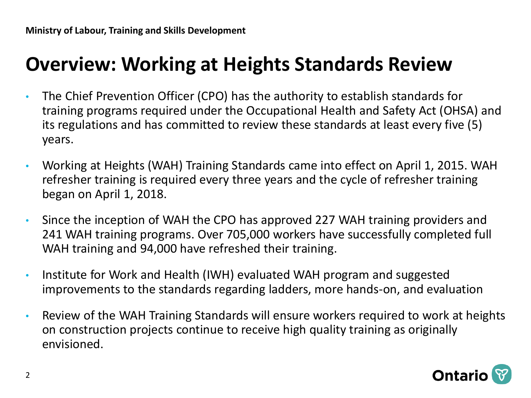### **Overview: Working at Heights Standards Review**

- The Chief Prevention Officer (CPO) has the authority to establish standards for training programs required under the Occupational Health and Safety Act (OHSA) and its regulations and has committed to review these standards at least every five (5) years.
- Working at Heights (WAH) Training Standards came into effect on April 1, 2015. WAH refresher training is required every three years and the cycle of refresher training began on April 1, 2018.
- Since the inception of WAH the CPO has approved 227 WAH training providers and 241 WAH training programs. Over 705,000 workers have successfully completed full WAH training and 94,000 have refreshed their training.
- Institute for Work and Health (IWH) evaluated WAH program and suggested improvements to the standards regarding ladders, more hands-on, and evaluation
- Review of the WAH Training Standards will ensure workers required to work at heights on construction projects continue to receive high quality training as originally envisioned.

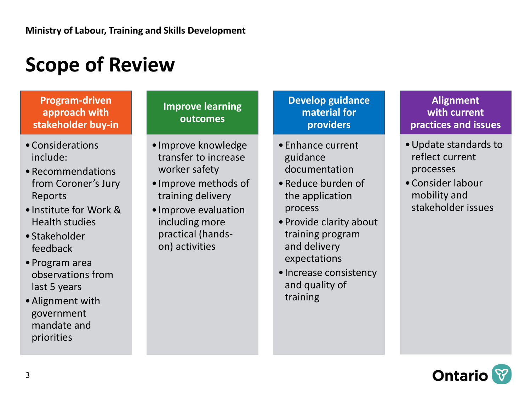### **Scope of Review**

#### **Program-driven approach with stakeholder buy-in**

- •Considerations include:
- •Recommendations from Coroner's Jury Reports
- •Institute for Work & Health studies
- •Stakeholder feedback
- •Program area observations from last 5 years
- •Alignment with government mandate and priorities

#### **Improve learning outcomes**

- •Improve knowledge transfer to increase worker safety
- •Improve methods of training delivery
- •Improve evaluation including more practical (handson) activities

#### **Develop guidance material for providers**

- •Enhance current guidance documentation
- •Reduce burden of the application process
- •Provide clarity about training program and delivery expectations
- •Increase consistency and quality of training

#### **Alignment with current practices and issues**

- •Update standards to reflect current processes
- •Consider labour mobility and stakeholder issues

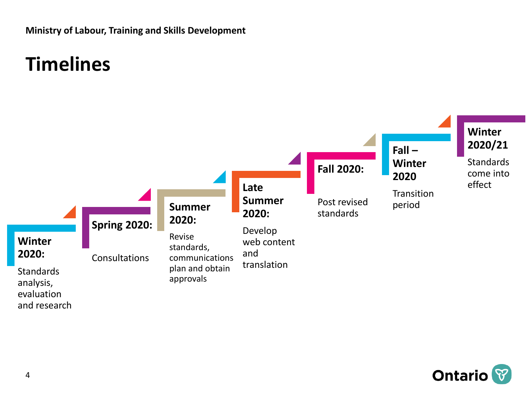**Ministry of Labour, Training and Skills Development**

### **Timelines**



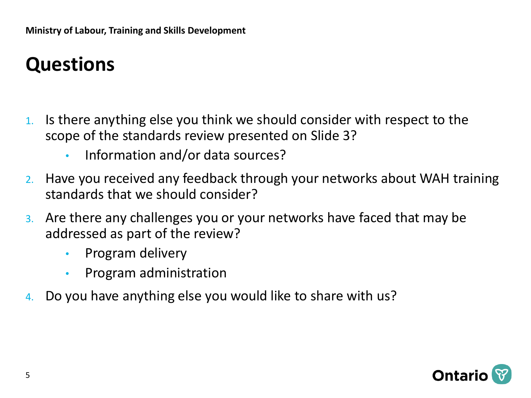## **Questions**

- 1. Is there anything else you think we should consider with respect to the scope of the standards review presented on Slide 3?
	- Information and/or data sources?
- 2. Have you received any feedback through your networks about WAH training standards that we should consider?
- 3. Are there any challenges you or your networks have faced that may be addressed as part of the review?
	- Program delivery
	- Program administration
- 4. Do you have anything else you would like to share with us?

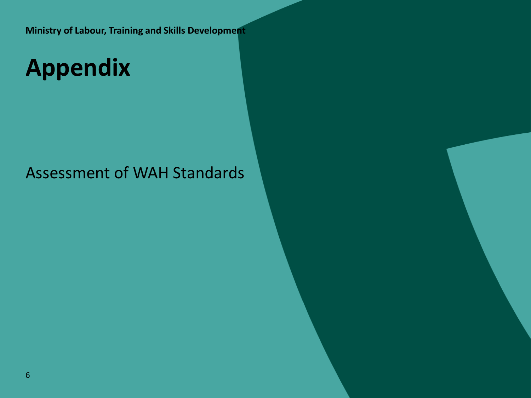**Ministry of Labour, Training and Skills Development**

# **Appendix**

#### Assessment of WAH Standards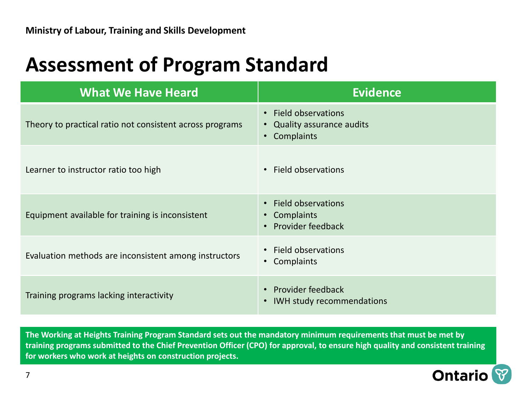#### **Assessment of Program Standard**

| <b>What We Have Heard</b>                                | <b>Evidence</b>                                                                                     |
|----------------------------------------------------------|-----------------------------------------------------------------------------------------------------|
| Theory to practical ratio not consistent across programs | • Field observations<br>Quality assurance audits<br>$\bullet$<br>Complaints<br>$\bullet$            |
| Learner to instructor ratio too high                     | Field observations<br>$\bullet$                                                                     |
| Equipment available for training is inconsistent         | <b>Field observations</b><br>$\bullet$<br>Complaints<br>$\bullet$<br>Provider feedback<br>$\bullet$ |
| Evaluation methods are inconsistent among instructors    | • Field observations<br>Complaints<br>$\bullet$                                                     |
| Training programs lacking interactivity                  | <b>Provider feedback</b><br>$\bullet$<br><b>IWH study recommendations</b>                           |

**The Working at Heights Training Program Standard sets out the mandatory minimum requirements that must be met by training programs submitted to the Chief Prevention Officer (CPO) for approval, to ensure high quality and consistent training for workers who work at heights on construction projects.**

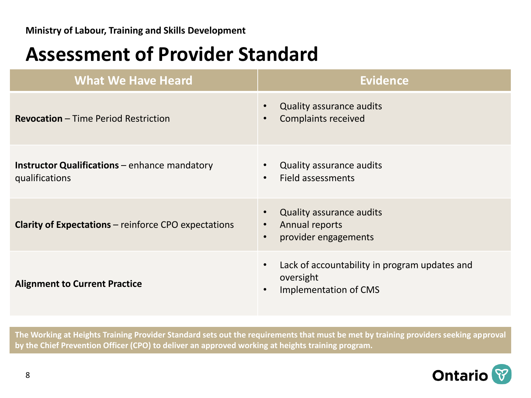#### **Assessment of Provider Standard**

| <b>What We Have Heard</b>                                              | <b>Evidence</b>                                                                                               |
|------------------------------------------------------------------------|---------------------------------------------------------------------------------------------------------------|
| <b>Revocation</b> – Time Period Restriction                            | <b>Quality assurance audits</b><br><b>Complaints received</b><br>$\bullet$                                    |
| <b>Instructor Qualifications</b> – enhance mandatory<br>qualifications | <b>Quality assurance audits</b><br>$\bullet$<br>Field assessments<br>$\bullet$                                |
| <b>Clarity of Expectations – reinforce CPO expectations</b>            | <b>Quality assurance audits</b><br>Annual reports<br>$\bullet$<br>provider engagements<br>$\bullet$           |
| <b>Alignment to Current Practice</b>                                   | Lack of accountability in program updates and<br>$\bullet$<br>oversight<br>Implementation of CMS<br>$\bullet$ |

**The Working at Heights Training Provider Standard sets out the requirements that must be met by training providers seeking approval by the Chief Prevention Officer (CPO) to deliver an approved working at heights training program.**